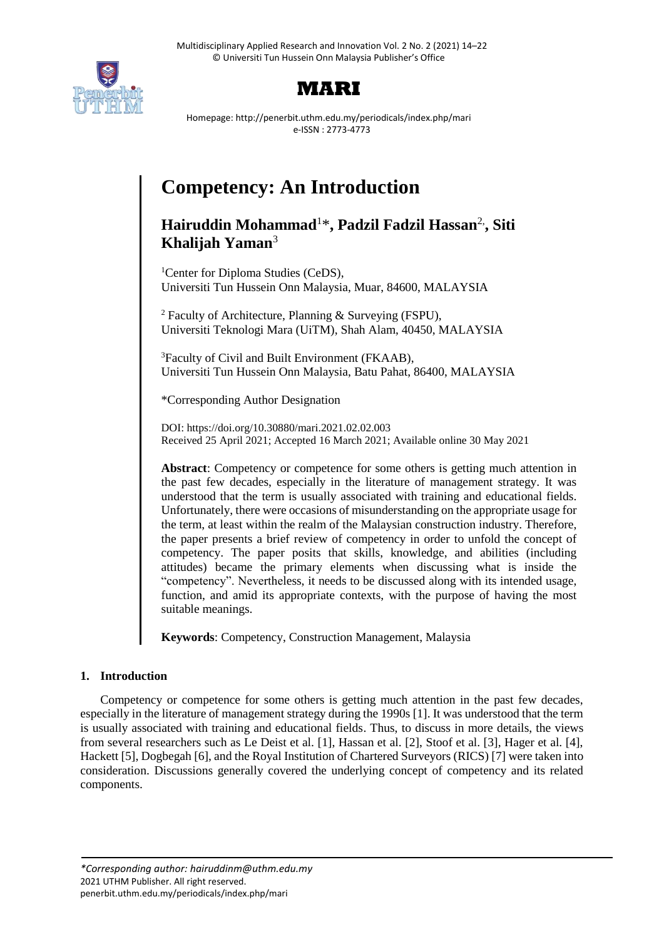



Homepage: http://penerbit.uthm.edu.my/periodicals/index.php/mari e-ISSN : 2773-4773

# **Competency: An Introduction**

# **Hairuddin Mohammad**<sup>1</sup>\***, Padzil Fadzil Hassan**2,**, Siti Khalijah Yaman**<sup>3</sup>

<sup>1</sup>Center for Diploma Studies (CeDS), Universiti Tun Hussein Onn Malaysia, Muar, 84600, MALAYSIA

<sup>2</sup> Faculty of Architecture, Planning & Surveying (FSPU), Universiti Teknologi Mara (UiTM), Shah Alam, 40450, MALAYSIA

<sup>3</sup>Faculty of Civil and Built Environment (FKAAB), Universiti Tun Hussein Onn Malaysia, Batu Pahat, 86400, MALAYSIA

\*Corresponding Author Designation

DOI: https://doi.org/10.30880/mari.2021.02.02.003 Received 25 April 2021; Accepted 16 March 2021; Available online 30 May 2021

**Abstract**: Competency or competence for some others is getting much attention in the past few decades, especially in the literature of management strategy. It was understood that the term is usually associated with training and educational fields. Unfortunately, there were occasions of misunderstanding on the appropriate usage for the term, at least within the realm of the Malaysian construction industry. Therefore, the paper presents a brief review of competency in order to unfold the concept of competency. The paper posits that skills, knowledge, and abilities (including attitudes) became the primary elements when discussing what is inside the "competency". Nevertheless, it needs to be discussed along with its intended usage, function, and amid its appropriate contexts, with the purpose of having the most suitable meanings.

**Keywords**: Competency, Construction Management, Malaysia

# **1. Introduction**

Competency or competence for some others is getting much attention in the past few decades, especially in the literature of management strategy during the 1990s [1]. It was understood that the term is usually associated with training and educational fields. Thus, to discuss in more details, the views from several researchers such as Le Deist et al. [1], Hassan et al. [2], Stoof et al. [3], Hager et al. [4], Hackett [5], Dogbegah [6], and the Royal Institution of Chartered Surveyors (RICS) [7] were taken into consideration. Discussions generally covered the underlying concept of competency and its related components.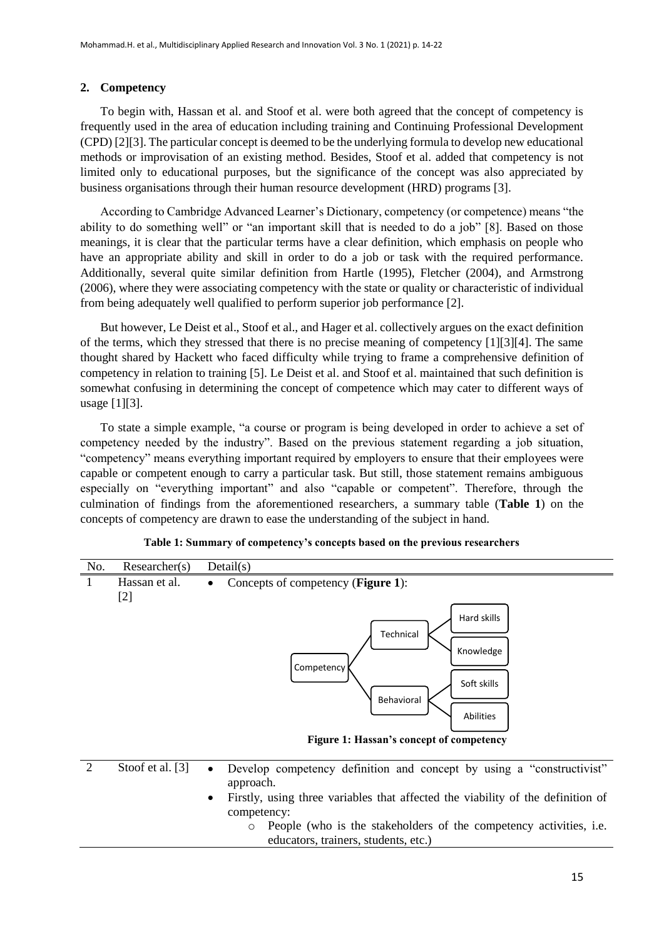## **2. Competency**

To begin with, Hassan et al. and Stoof et al. were both agreed that the concept of competency is frequently used in the area of education including training and Continuing Professional Development (CPD) [2][3]. The particular concept is deemed to be the underlying formula to develop new educational methods or improvisation of an existing method. Besides, Stoof et al. added that competency is not limited only to educational purposes, but the significance of the concept was also appreciated by business organisations through their human resource development (HRD) programs [3].

According to Cambridge Advanced Learner's Dictionary, competency (or competence) means "the ability to do something well" or "an important skill that is needed to do a job" [8]. Based on those meanings, it is clear that the particular terms have a clear definition, which emphasis on people who have an appropriate ability and skill in order to do a job or task with the required performance. Additionally, several quite similar definition from Hartle (1995), Fletcher (2004), and Armstrong (2006), where they were associating competency with the state or quality or characteristic of individual from being adequately well qualified to perform superior job performance [2].

But however, Le Deist et al., Stoof et al., and Hager et al. collectively argues on the exact definition of the terms, which they stressed that there is no precise meaning of competency [1][3][4]. The same thought shared by Hackett who faced difficulty while trying to frame a comprehensive definition of competency in relation to training [5]. Le Deist et al. and Stoof et al. maintained that such definition is somewhat confusing in determining the concept of competence which may cater to different ways of usage [1][3].

To state a simple example, "a course or program is being developed in order to achieve a set of competency needed by the industry". Based on the previous statement regarding a job situation, "competency" means everything important required by employers to ensure that their employees were capable or competent enough to carry a particular task. But still, those statement remains ambiguous especially on "everything important" and also "capable or competent". Therefore, through the culmination of findings from the aforementioned researchers, a summary table (**Table 1**) on the concepts of competency are drawn to ease the understanding of the subject in hand.



#### **Table 1: Summary of competency's concepts based on the previous researchers**

|  | Stoof et al. [3] | • Develop competency definition and concept by using a "constructivist"           |
|--|------------------|-----------------------------------------------------------------------------------|
|  |                  | approach.                                                                         |
|  |                  | • Firstly, using three variables that affected the viability of the definition of |
|  |                  | competency:                                                                       |
|  |                  | o People (who is the stakeholders of the competency activities, i.e.              |
|  |                  | educators, trainers, students, etc.)                                              |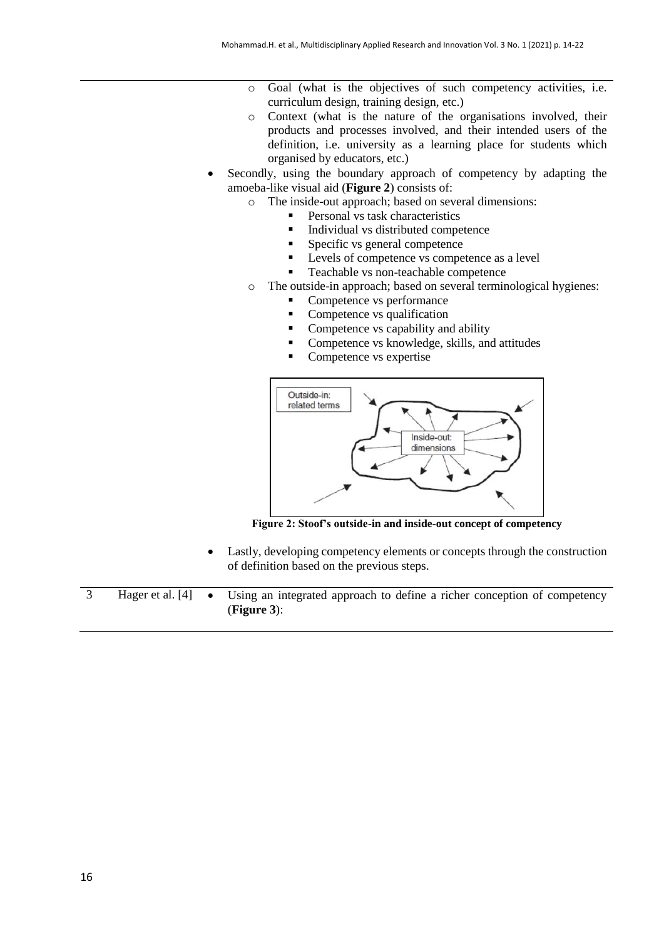- o Goal (what is the objectives of such competency activities, i.e. curriculum design, training design, etc.)
- o Context (what is the nature of the organisations involved, their products and processes involved, and their intended users of the definition, i.e. university as a learning place for students which organised by educators, etc.)
- Secondly, using the boundary approach of competency by adapting the amoeba-like visual aid (**Figure 2**) consists of:
	- o The inside-out approach; based on several dimensions:
		- **Personal vs task characteristics**
		- Individual vs distributed competence
		- Specific vs general competence
		- **Levels of competence vs competence as a level**
		- Teachable vs non-teachable competence
	- o The outside-in approach; based on several terminological hygienes:
		- Competence vs performance
		- Competence vs qualification
		- Competence vs capability and ability
		- Competence vs knowledge, skills, and attitudes
		- Competence vs expertise



**Figure 2: Stoof's outside-in and inside-out concept of competency**

- Lastly, developing competency elements or concepts through the construction of definition based on the previous steps.
- 3 Hager et al. [4] Using an integrated approach to define a richer conception of competency (**Figure 3**):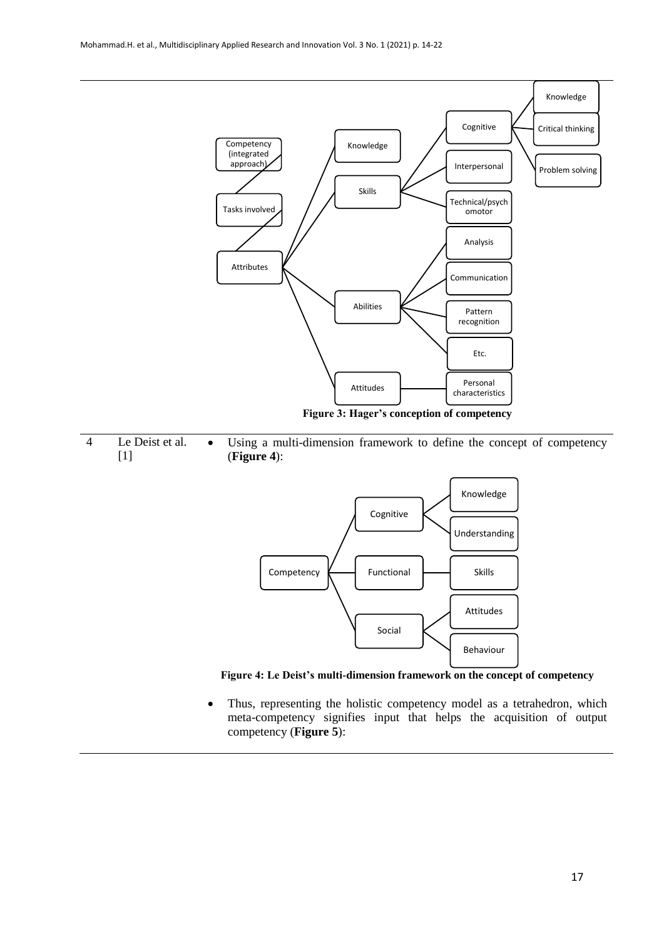







• Thus, representing the holistic competency model as a tetrahedron, which meta-competency signifies input that helps the acquisition of output competency (**Figure 5**):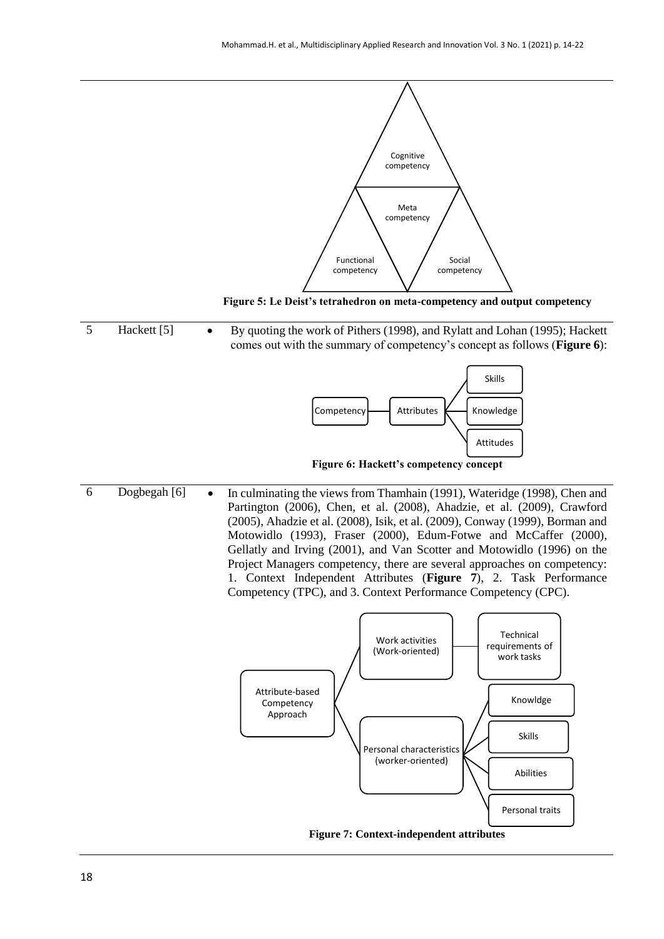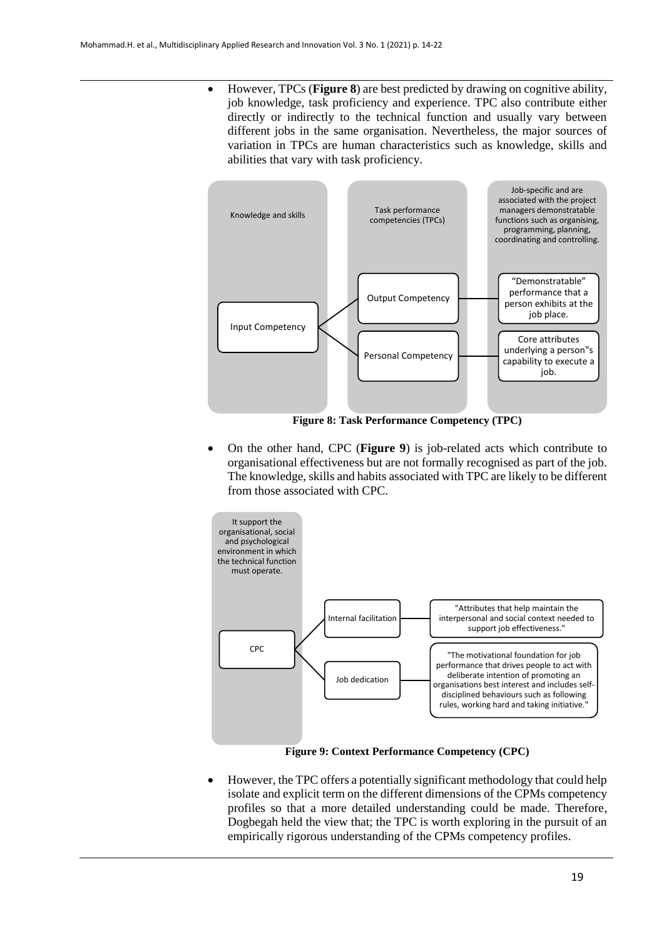However, TPCs (**Figure 8**) are best predicted by drawing on cognitive ability, job knowledge, task proficiency and experience. TPC also contribute either directly or indirectly to the technical function and usually vary between different jobs in the same organisation. Nevertheless, the major sources of variation in TPCs are human characteristics such as knowledge, skills and abilities that vary with task proficiency.



**Figure 8: Task Performance Competency (TPC)**

 On the other hand, CPC (**Figure 9**) is job-related acts which contribute to organisational effectiveness but are not formally recognised as part of the job. The knowledge, skills and habits associated with TPC are likely to be different from those associated with CPC.



**Figure 9: Context Performance Competency (CPC)**

 However, the TPC offers a potentially significant methodology that could help isolate and explicit term on the different dimensions of the CPMs competency profiles so that a more detailed understanding could be made. Therefore, Dogbegah held the view that; the TPC is worth exploring in the pursuit of an empirically rigorous understanding of the CPMs competency profiles.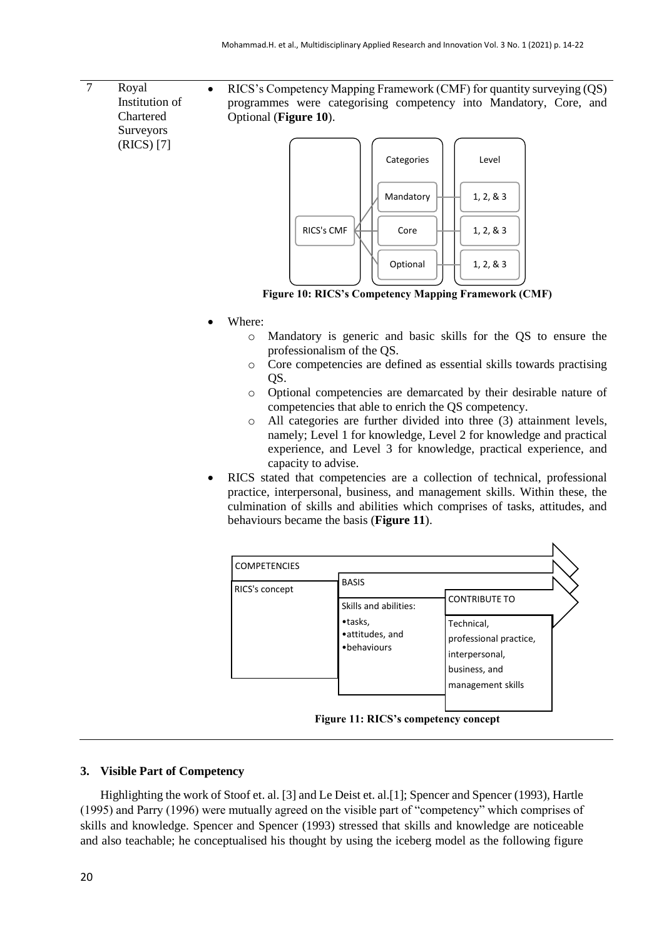7 Royal Institution of Chartered Surveyors (RICS) [7]

• RICS's Competency Mapping Framework (CMF) for quantity surveying (QS) programmes were categorising competency into Mandatory, Core, and Optional (**Figure 10**).



**Figure 10: RICS's Competency Mapping Framework (CMF)**

- Where:
	- o Mandatory is generic and basic skills for the QS to ensure the professionalism of the QS.
	- o Core competencies are defined as essential skills towards practising QS.
	- o Optional competencies are demarcated by their desirable nature of competencies that able to enrich the QS competency.
	- o All categories are further divided into three (3) attainment levels, namely; Level 1 for knowledge, Level 2 for knowledge and practical experience, and Level 3 for knowledge, practical experience, and capacity to advise.
- RICS stated that competencies are a collection of technical, professional practice, interpersonal, business, and management skills. Within these, the culmination of skills and abilities which comprises of tasks, attitudes, and behaviours became the basis (**Figure 11**).



**Figure 11: RICS's competency concept**

#### **3. Visible Part of Competency**

Highlighting the work of Stoof et. al. [3] and Le Deist et. al.[1]; Spencer and Spencer (1993), Hartle (1995) and Parry (1996) were mutually agreed on the visible part of "competency" which comprises of skills and knowledge. Spencer and Spencer (1993) stressed that skills and knowledge are noticeable and also teachable; he conceptualised his thought by using the iceberg model as the following figure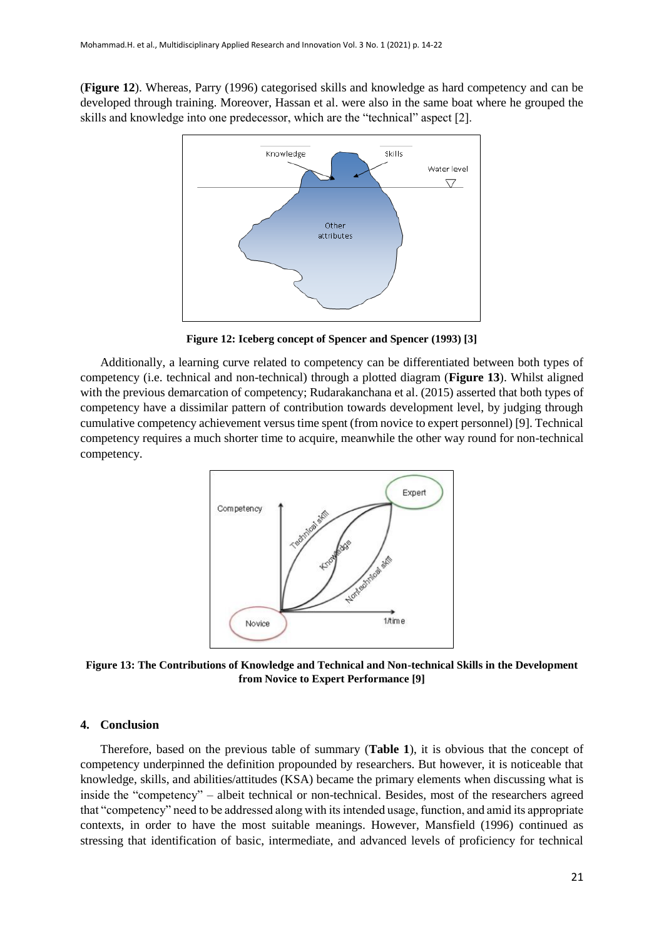(**Figure 12**). Whereas, Parry (1996) categorised skills and knowledge as hard competency and can be developed through training. Moreover, Hassan et al. were also in the same boat where he grouped the skills and knowledge into one predecessor, which are the "technical" aspect [2].



**Figure 12: Iceberg concept of Spencer and Spencer (1993) [3]**

Additionally, a learning curve related to competency can be differentiated between both types of competency (i.e. technical and non-technical) through a plotted diagram (**Figure 13**). Whilst aligned with the previous demarcation of competency; Rudarakanchana et al. (2015) asserted that both types of competency have a dissimilar pattern of contribution towards development level, by judging through cumulative competency achievement versus time spent (from novice to expert personnel) [9]. Technical competency requires a much shorter time to acquire, meanwhile the other way round for non-technical competency.



**Figure 13: The Contributions of Knowledge and Technical and Non-technical Skills in the Development from Novice to Expert Performance [9]**

#### **4. Conclusion**

Therefore, based on the previous table of summary (**Table 1**), it is obvious that the concept of competency underpinned the definition propounded by researchers. But however, it is noticeable that knowledge, skills, and abilities/attitudes (KSA) became the primary elements when discussing what is inside the "competency" – albeit technical or non-technical. Besides, most of the researchers agreed that "competency" need to be addressed along with its intended usage, function, and amid its appropriate contexts, in order to have the most suitable meanings. However, Mansfield (1996) continued as stressing that identification of basic, intermediate, and advanced levels of proficiency for technical